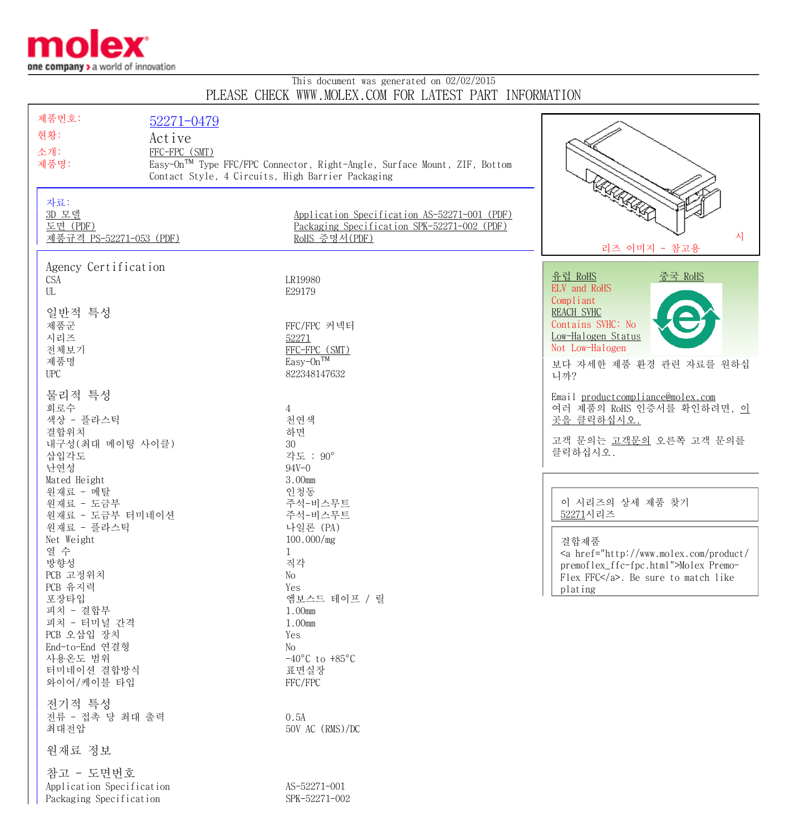

## This document was generated on 02/02/2015 PLEASE CHECK WWW.MOLEX.COM FOR LATEST PART INFORMATION

| 제품번호:                                               | 52271-0479                                        |                                                                                                              |                                                                                                                                |
|-----------------------------------------------------|---------------------------------------------------|--------------------------------------------------------------------------------------------------------------|--------------------------------------------------------------------------------------------------------------------------------|
| 현황:                                                 | Active                                            |                                                                                                              |                                                                                                                                |
| 소개:                                                 | FFC-FPC (SMT)                                     |                                                                                                              |                                                                                                                                |
| 제품명:                                                |                                                   | Easy-On <sup>TM</sup> Type FFC/FPC Connector, Right-Angle, Surface Mount, ZIF, Bottom                        |                                                                                                                                |
|                                                     | Contact Style, 4 Circuits, High Barrier Packaging |                                                                                                              |                                                                                                                                |
| 자료:<br>3D 모델<br>도면 (PDF)<br>제품규격 PS-52271-053 (PDF) |                                                   | Application Specification AS-52271-001 (PDF)<br>Packaging Specification SPK-52271-002 (PDF)<br>RoHS 증명서(PDF) | <b>RACCORD</b><br>시<br>리즈 이미지 - 참고용                                                                                            |
| Agency Certification                                |                                                   |                                                                                                              | 중국 RoHS<br>유럽 RoHS                                                                                                             |
| CSA<br>UL                                           |                                                   | LR19980<br>E29179                                                                                            | ELV and RoHS                                                                                                                   |
| 일반적 특성<br>제품군<br>시리즈<br>전체보기<br>제품명<br><b>UPC</b>   |                                                   | FFC/FPC 커넥터<br>52271<br>FFC-FPC (SMT)<br>Easy-On <sup>TM</sup><br>822348147632                               | Compliant<br><b>REACH SVHC</b><br>Contains SVHC: No<br>Low-Halogen Status<br>Not Low-Halogen<br>보다 자세한 제품 환경 관련 자료를 원하십<br>니까? |
| 물리적 특성                                              |                                                   |                                                                                                              | Email productcompliance@molex.com                                                                                              |
| 회로수                                                 |                                                   | 4                                                                                                            | 여러 제품의 RoHS 인증서를 확인하려면, 이                                                                                                      |
| 색상 - 플라스틱                                           |                                                   | 천연색                                                                                                          | 곳을 클릭하십시오.                                                                                                                     |
| 결합위치<br>내구성 (최대 메이팅 사이클)                            |                                                   | 하면<br>30                                                                                                     | 고객 문의는 고객문의 오른쪽 고객 문의를                                                                                                         |
| 삽입각도                                                |                                                   | 각도 : 90°                                                                                                     | 클릭하십시오.                                                                                                                        |
| 난연성                                                 |                                                   | $94V - 0$                                                                                                    |                                                                                                                                |
| Mated Height                                        |                                                   | 3.00mm                                                                                                       |                                                                                                                                |
| 원재료 - 메탈<br>원재료 - 도금부                               |                                                   | 인청동<br>주석-비스무트                                                                                               | 이 시리즈의 상세 제품 찾기                                                                                                                |
| 원재료 - 도금부 터미네이션                                     |                                                   | 주석-비스무트                                                                                                      | 52271시리즈                                                                                                                       |
| 원재료 - 플라스틱                                          |                                                   | 나일론 (PA)                                                                                                     |                                                                                                                                |
| Net Weight<br>열 수                                   |                                                   | 100.000/mg                                                                                                   | 결합제품                                                                                                                           |
| 방향성                                                 |                                                   | $\mathbf{1}$<br>직각                                                                                           | <a href="http://www.molex.com/product/&lt;br&gt;premoflex_ffc-fpc.html">Molex Premo-</a>                                       |
| PCB 고정위치                                            |                                                   | No                                                                                                           | Flex FFC. Be sure to match like                                                                                                |
| PCB 유지력                                             |                                                   | Yes                                                                                                          | plating                                                                                                                        |
| 포장타입<br>피치 - 결합부                                    |                                                   | 엠보스드 테이프 / 릴<br>1.00mm                                                                                       |                                                                                                                                |
| 피치 - 터미널 간격                                         |                                                   | 1.00mm                                                                                                       |                                                                                                                                |
| PCB 오삽입 장치                                          |                                                   | Yes                                                                                                          |                                                                                                                                |
| End-to-End 연결형                                      |                                                   | No                                                                                                           |                                                                                                                                |
| 사용온도 범위<br>터미네이션 결합방식                               |                                                   | $-40^{\circ}$ C to $+85^{\circ}$ C<br>표면실장                                                                   |                                                                                                                                |
| 와이어/케이블 타입                                          |                                                   | FFC/FPC                                                                                                      |                                                                                                                                |
|                                                     |                                                   |                                                                                                              |                                                                                                                                |
| 전기적 특성                                              |                                                   |                                                                                                              |                                                                                                                                |
| 전류 - 접촉 당 최대 출력<br>최대전압                             |                                                   | 0.5A<br>50V AC (RMS)/DC                                                                                      |                                                                                                                                |
| 원재료 정보                                              |                                                   |                                                                                                              |                                                                                                                                |
| 참고 - 도면번호                                           |                                                   |                                                                                                              |                                                                                                                                |
| Application Specification                           |                                                   | AS-52271-001                                                                                                 |                                                                                                                                |
| Packaging Specification                             |                                                   | SPK-52271-002                                                                                                |                                                                                                                                |